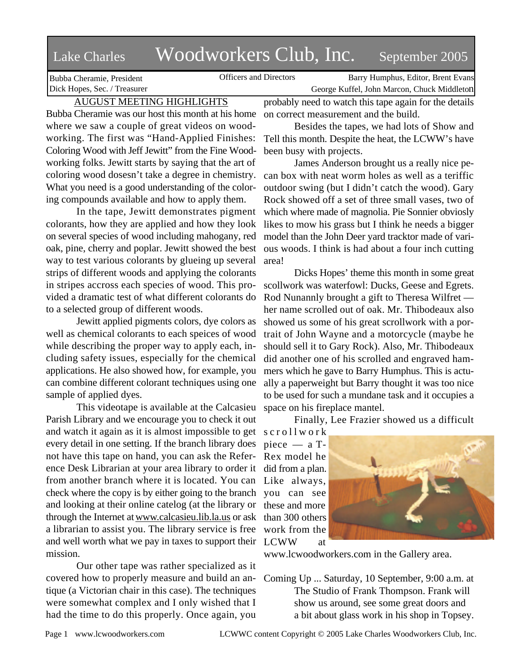# Lake Charles Woodworkers Club, Inc. September 2005

Bubba Cheramie, President Dick Hopes, Sec. / Treasurer

Officers and Directors Barry Humphus, Editor, Brent Evans George Kuffel, John Marcon, Chuck Middleton

# AUGUST MEETING HIGHLIGHTS

Bubba Cheramie was our host this month at his home where we saw a couple of great videos on woodworking. The first was "Hand-Applied Finishes: Coloring Wood with Jeff Jewitt" from the Fine Woodworking folks. Jewitt starts by saying that the art of coloring wood dosesn't take a degree in chemistry. What you need is a good understanding of the coloring compounds available and how to apply them.

In the tape, Jewitt demonstrates pigment colorants, how they are applied and how they look on several species of wood including mahogany, red oak, pine, cherry and poplar. Jewitt showed the best way to test various colorants by glueing up several strips of different woods and applying the colorants in stripes accross each species of wood. This provided a dramatic test of what different colorants do to a selected group of different woods.

Jewitt applied pigments colors, dye colors as well as chemical colorants to each speices of wood while describing the proper way to apply each, including safety issues, especially for the chemical applications. He also showed how, for example, you can combine different colorant techniques using one sample of applied dyes.

This videotape is available at the Calcasieu Parish Library and we encourage you to check it out and watch it again as it is almost impossible to get every detail in one setting. If the branch library does not have this tape on hand, you can ask the Reference Desk Librarian at your area library to order it did from a plan. from another branch where it is located. You can Like always, check where the copy is by either going to the branch and looking at their online catelog (at the library or through the Internet at www.calcasieu.lib.la.us or ask than 300 others a librarian to assist you. The library service is free and well worth what we pay in taxes to support their LCWW at mission.

Our other tape was rather specialized as it covered how to properly measure and build an antique (a Victorian chair in this case). The techniques were somewhat complex and I only wished that I had the time to do this properly. Once again, you

probably need to watch this tape again for the details on correct measurement and the build.

Besides the tapes, we had lots of Show and Tell this month. Despite the heat, the LCWW's have been busy with projects.

James Anderson brought us a really nice pecan box with neat worm holes as well as a teriffic outdoor swing (but I didn't catch the wood). Gary Rock showed off a set of three small vases, two of which where made of magnolia. Pie Sonnier obviosly likes to mow his grass but I think he needs a bigger model than the John Deer yard tracktor made of various woods. I think is had about a four inch cutting area!

Dicks Hopes' theme this month in some great scollwork was waterfowl: Ducks, Geese and Egrets. Rod Nunannly brought a gift to Theresa Wilfret her name scrolled out of oak. Mr. Thibodeaux also showed us some of his great scrollwork with a portrait of John Wayne and a motorcycle (maybe he should sell it to Gary Rock). Also, Mr. Thibodeaux did another one of his scrolled and engraved hammers which he gave to Barry Humphus. This is actually a paperweight but Barry thought it was too nice to be used for such a mundane task and it occupies a space on his fireplace mantel.

Finally, Lee Frazier showed us a difficult

s c r o l l w o r k piece — a T-Rex model he you can see these and more work from the



www.lcwoodworkers.com in the Gallery area.

Coming Up ... Saturday, 10 September, 9:00 a.m. at The Studio of Frank Thompson. Frank will show us around, see some great doors and a bit about glass work in his shop in Topsey.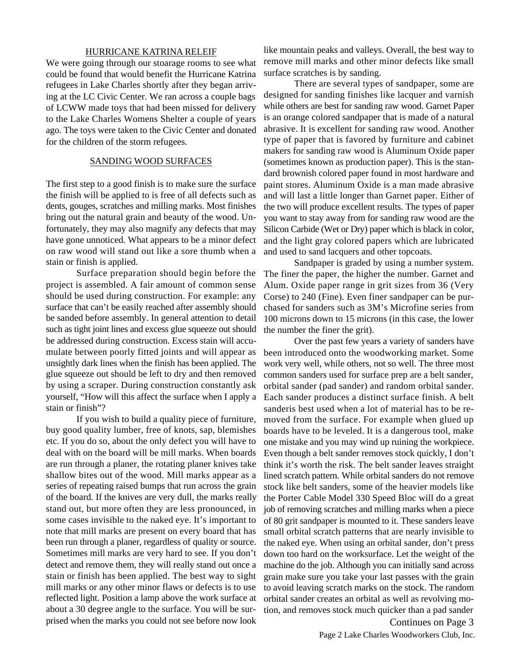### HURRICANE KATRINA RELEIF

We were going through our stoarage rooms to see what could be found that would benefit the Hurricane Katrina refugees in Lake Charles shortly after they began arriving at the LC Civic Center. We ran across a couple bags of LCWW made toys that had been missed for delivery to the Lake Charles Womens Shelter a couple of years ago. The toys were taken to the Civic Center and donated for the children of the storm refugees.

# SANDING WOOD SURFACES

The first step to a good finish is to make sure the surface the finish will be applied to is free of all defects such as dents, gouges, scratches and milling marks. Most finishes bring out the natural grain and beauty of the wood. Unfortunately, they may also magnify any defects that may have gone unnoticed. What appears to be a minor defect on raw wood will stand out like a sore thumb when a stain or finish is applied.

Surface preparation should begin before the project is assembled. A fair amount of common sense should be used during construction. For example: any surface that can't be easily reached after assembly should be sanded before assembly. In general attention to detail such as tight joint lines and excess glue squeeze out should be addressed during construction. Excess stain will accumulate between poorly fitted joints and will appear as unsightly dark lines when the finish has been applied. The glue squeeze out should be left to dry and then removed by using a scraper. During construction constantly ask yourself, "How will this affect the surface when I apply a stain or finish"?

If you wish to build a quality piece of furniture, buy good quality lumber, free of knots, sap, blemishes etc. If you do so, about the only defect you will have to deal with on the board will be mill marks. When boards are run through a planer, the rotating planer knives take shallow bites out of the wood. Mill marks appear as a series of repeating raised bumps that run across the grain of the board. If the knives are very dull, the marks really stand out, but more often they are less pronounced, in some cases invisible to the naked eye. It's important to note that mill marks are present on every board that has been run through a planer, regardless of quality or source. Sometimes mill marks are very hard to see. If you don't detect and remove them, they will really stand out once a stain or finish has been applied. The best way to sight mill marks or any other minor flaws or defects is to use reflected light. Position a lamp above the work surface at about a 30 degree angle to the surface. You will be surprised when the marks you could not see before now look

like mountain peaks and valleys. Overall, the best way to remove mill marks and other minor defects like small surface scratches is by sanding.

There are several types of sandpaper, some are designed for sanding finishes like lacquer and varnish while others are best for sanding raw wood. Garnet Paper is an orange colored sandpaper that is made of a natural abrasive. It is excellent for sanding raw wood. Another type of paper that is favored by furniture and cabinet makers for sanding raw wood is Aluminum Oxide paper (sometimes known as production paper). This is the standard brownish colored paper found in most hardware and paint stores. Aluminum Oxide is a man made abrasive and will last a little longer than Garnet paper. Either of the two will produce excellent results. The types of paper you want to stay away from for sanding raw wood are the Silicon Carbide (Wet or Dry) paper which is black in color, and the light gray colored papers which are lubricated and used to sand lacquers and other topcoats.

Sandpaper is graded by using a number system. The finer the paper, the higher the number. Garnet and Alum. Oxide paper range in grit sizes from 36 (Very Corse) to 240 (Fine). Even finer sandpaper can be purchased for sanders such as 3M's Microfine series from 100 microns down to 15 microns (in this case, the lower the number the finer the grit).

Over the past few years a variety of sanders have been introduced onto the woodworking market. Some work very well, while others, not so well. The three most common sanders used for surface prep are a belt sander, orbital sander (pad sander) and random orbital sander. Each sander produces a distinct surface finish. A belt sanderis best used when a lot of material has to be removed from the surface. For example when glued up boards have to be leveled. It is a dangerous tool, make one mistake and you may wind up ruining the workpiece. Even though a belt sander removes stock quickly, I don't think it's worth the risk. The belt sander leaves straight lined scratch pattern. While orbital sanders do not remove stock like belt sanders, some of the heavier models like the Porter Cable Model 330 Speed Bloc will do a great job of removing scratches and milling marks when a piece of 80 grit sandpaper is mounted to it. These sanders leave small orbital scratch patterns that are nearly invisible to the naked eye. When using an orbital sander, don't press down too hard on the worksurface. Let the weight of the machine do the job. Although you can initially sand across grain make sure you take your last passes with the grain to avoid leaving scratch marks on the stock. The random orbital sander creates an orbital as well as revolving motion, and removes stock much quicker than a pad sander

Page 2 Lake Charles Woodworkers Club, Inc. Continues on Page 3